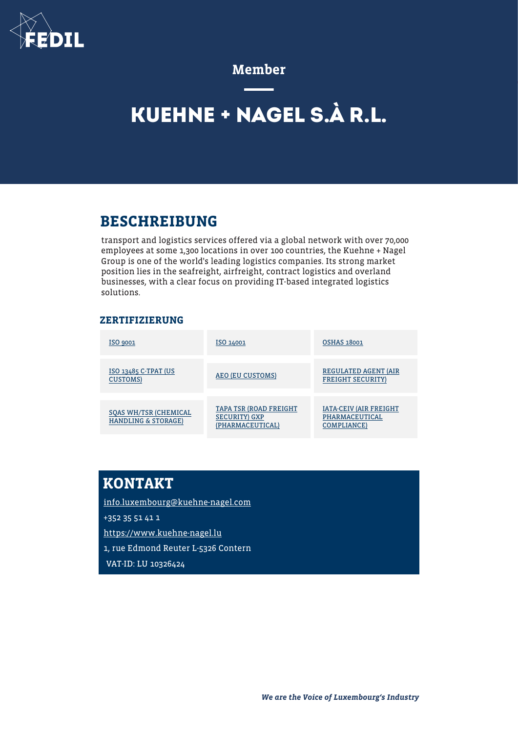

#### Member

# **KUEHNE + NAGEL S.À R.L.**

## BESCHREIBUNG

transport and logistics services offered via a global network with over 70,000 employees at some 1,300 locations in over 100 countries, the Kuehne + Nagel Group is one of the world's leading logistics companies. Its strong market position lies in the seafreight, airfreight, contract logistics and overland businesses, with a clear focus on providing IT-based integrated logistics solutions.

#### ZERTIFIZIERUNG

| ISO 9001                                                       | ISO 14001                                                         | <b>OSHAS 18001</b>                                             |
|----------------------------------------------------------------|-------------------------------------------------------------------|----------------------------------------------------------------|
| ISO 13485 C-TPAT (US<br><b>CUSTOMS</b> )                       | AEO (EU CUSTOMS)                                                  | <b>REGULATED AGENT (AIR</b><br><b>FREIGHT SECURITY)</b>        |
| <b>SQAS WH/TSR (CHEMICAL</b><br><b>HANDLING &amp; STORAGE)</b> | TAPA TSR (ROAD FREIGHT<br><b>SECURITY</b> GXP<br>(PHARMACEUTICAL) | <b>IATA-CEIV (AIR FREIGHT</b><br>PHARMACEUTICAL<br>COMPLIANCE) |

# KONTAKT

[info.luxembourg@kuehne-nagel.com](mailto:info.luxembourg@kuehne-nagel.com) +352 35 51 41 1 <https://www.kuehne-nagel.lu> 1, rue Edmond Reuter L-5326 Contern VAT-ID: LU 10326424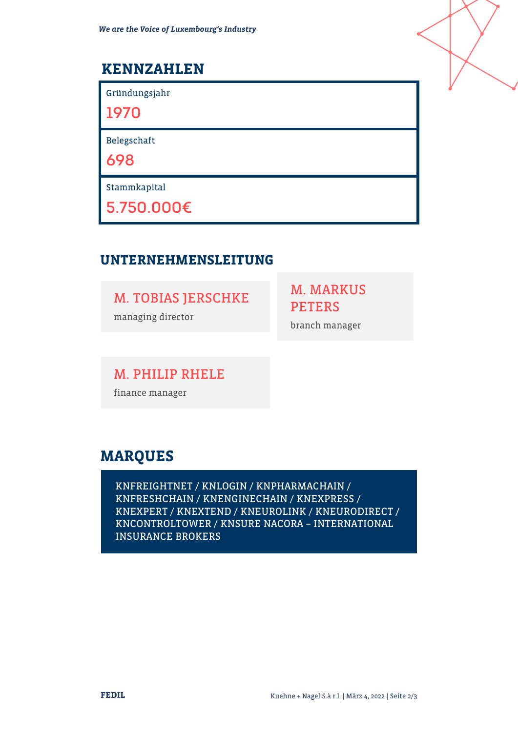# KENNZAHLEN

Gründungsjahr

**1970**

Belegschaft

**698**

Stammkapital

**5.750.000€**

#### UNTERNEHMENSLEITUNG

M. TOBIAS JERSCHKE

managing director

M. MARKUS PETERS

branch manager

M. PHILIP RHELE

finance manager

# MARQUES

KNFREIGHTNET / KNLOGIN / KNPHARMACHAIN / KNFRESHCHAIN / KNENGINECHAIN / KNEXPRESS / KNEXPERT / KNEXTEND / KNEUROLINK / KNEURODIRECT / KNCONTROLTOWER / KNSURE NACORA – INTERNATIONAL INSURANCE BROKERS